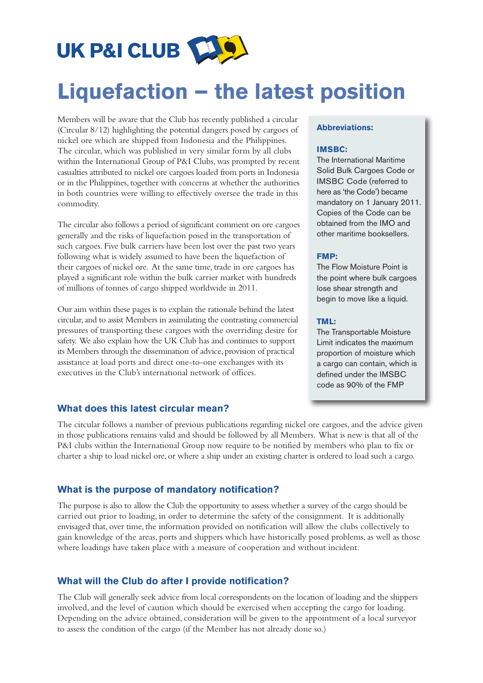

# **Liquefaction – the latest position**

Members will be aware that the Club has recently published a circular (Circular 8/12) highlighting the potential dangers posed by cargoes of nickel ore which are shipped from Indonesia and the Philippines. The circular, which was published in very similar form by all clubs within the International Group of P&I Clubs, was prompted by recent casualties attributed to nickel ore cargoes loaded from ports in Indonesia or in the Philippines, together with concerns at whether the authorities in both countries were willing to effectively oversee the trade in this commodity.

The circular also follows a period of significant comment on ore cargoes generally and the risks of liquefaction posed in the transportation of such cargoes. Five bulk carriers have been lost over the past two years following what is widely assumed to have been the liquefaction of their cargoes of nickel ore. At the same time, trade in ore cargoes has played a significant role within the bulk carrier market with hundreds of millions of tonnes of cargo shipped worldwide in 2011.

Our aim within these pages is to explain the rationale behind the latest circular, and to assist Members in assimilating the contrasting commercial pressures of transporting these cargoes with the overriding desire for safety. We also explain how the UK Club has and continues to support its Members through the dissemination of advice, provision of practical assistance at load ports and direct one-to-one exchanges with its executives in the Club's international network of offices.

#### **What does this latest circular mean?**

#### The circular follows a number of previous publications regarding nickel ore cargoes, and the advice given in those publications remains valid and should be followed by all Members. What is new is that all of the P&I clubs within the International Group now require to be notified by members who plan to fix or charter a ship to load nickel ore, or where a ship under an existing charter is ordered to load such a cargo.

## **What is the purpose of mandatory notification?**

The purpose is also to allow the Club the opportunity to assess whether a survey of the cargo should be carried out prior to loading, in order to determine the safety of the consignment. It is additionally envisaged that, over time, the information provided on notification will allow the clubs collectively to gain knowledge of the areas, ports and shippers which have historically posed problems, as well as those where loadings have taken place with a measure of cooperation and without incident.

#### **What will the Club do after I provide notification?**

The Club will generally seek advice from local correspondents on the location of loading and the shippers involved, and the level of caution which should be exercised when accepting the cargo for loading. Depending on the advice obtained, consideration will be given to the appointment of a local surveyor to assess the condition of the cargo (if the Member has not already done so.)

#### **Abbreviations:**

#### **IMSBC:**

The International Maritime Solid Bulk Cargoes Code or IMSBC Code (referred to here as 'the Code') became mandatory on 1 January 2011. Copies of the Code can be obtained from the IMO and other maritime booksellers.

#### **FMP:**

The Flow Moisture Point is the point where bulk cargoes lose shear strength and begin to move like a liquid.

#### **TML:**

The Transportable Moisture Limit indicates the maximum proportion of moisture which a cargo can contain, which is defined under the IMSBC code as 90% of the FMP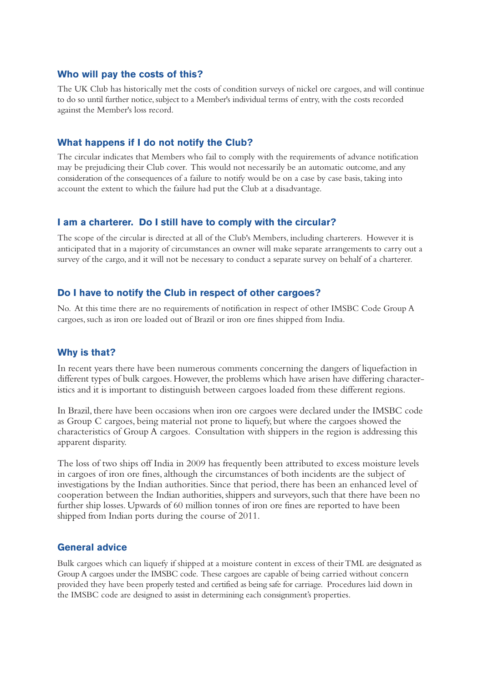### **Who will pay the costs of this?**

The UK Club has historically met the costs of condition surveys of nickel ore cargoes, and will continue to do so until further notice, subject to a Member's individual terms of entry, with the costs recorded against the Member's loss record.

### **What happens if I do not notify the Club?**

The circular indicates that Members who fail to comply with the requirements of advance notification may be prejudicing their Club cover. This would not necessarily be an automatic outcome, and any consideration of the consequences of a failure to notify would be on a case by case basis, taking into account the extent to which the failure had put the Club at a disadvantage.

### **I am a charterer. Do I still have to comply with the circular?**

The scope of the circular is directed at all of the Club's Members, including charterers. However it is anticipated that in a majority of circumstances an owner will make separate arrangements to carry out a survey of the cargo, and it will not be necessary to conduct a separate survey on behalf of a charterer.

### **Do I have to notify the Club in respect of other cargoes?**

No. At this time there are no requirements of notification in respect of other IMSBC Code Group A cargoes, such as iron ore loaded out of Brazil or iron ore fines shipped from India.

#### **Why is that?**

In recent years there have been numerous comments concerning the dangers of liquefaction in different types of bulk cargoes. However, the problems which have arisen have differing characteristics and it is important to distinguish between cargoes loaded from these different regions.

In Brazil, there have been occasions when iron ore cargoes were declared under the IMSBC code as Group C cargoes, being material not prone to liquefy, but where the cargoes showed the characteristics of Group A cargoes. Consultation with shippers in the region is addressing this apparent disparity.

The loss of two ships off India in 2009 has frequently been attributed to excess moisture levels in cargoes of iron ore fines, although the circumstances of both incidents are the subject of investigations by the Indian authorities. Since that period, there has been an enhanced level of cooperation between the Indian authorities, shippers and surveyors, such that there have been no further ship losses. Upwards of 60 million tonnes of iron ore fines are reported to have been shipped from Indian ports during the course of 2011.

### **General advice**

Bulk cargoes which can liquefy if shipped at a moisture content in excess of their TML are designated as Group A cargoes under the IMSBC code. These cargoes are capable of being carried without concern provided they have been properly tested and certified as being safe for carriage. Procedures laid down in the IMSBC code are designed to assist in determining each consignment's properties.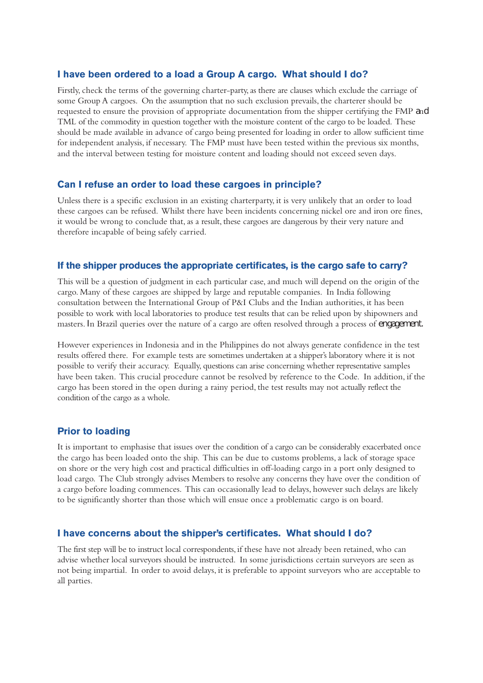# **I have been ordered to a load a Group A cargo. What should I do?**

Firstly, check the terms of the governing charter-party, as there are clauses which exclude the carriage of some Group A cargoes. On the assumption that no such exclusion prevails, the charterer should be requested to ensure the provision of appropriate documentation from the shipper certifying the FMP and TML of the commodity in question together with the moisture content of the cargo to be loaded. These should be made available in advance of cargo being presented for loading in order to allow sufficient time for independent analysis, if necessary. The FMP must have been tested within the previous six months, and the interval between testing for moisture content and loading should not exceed seven days.

## **Can I refuse an order to load these cargoes in principle?**

Unless there is a specific exclusion in an existing charterparty, it is very unlikely that an order to load these cargoes can be refused. Whilst there have been incidents concerning nickel ore and iron ore fines, it would be wrong to conclude that, as a result, these cargoes are dangerous by their very nature and therefore incapable of being safely carried.

### **If the shipper produces the appropriate certificates, is the cargo safe to carry?**

This will be a question of judgment in each particular case, and much will depend on the origin of the cargo. Many of these cargoes are shipped by large and reputable companies. In India following consultation between the International Group of P&I Clubs and the Indian authorities, it has been possible to work with local laboratories to produce test results that can be relied upon by shipowners and masters. In Brazil queries over the nature of a cargo are often resolved through a process of engagement.

However experiences in Indonesia and in the Philippines do not always generate confidence in the test results offered there. For example tests are sometimes undertaken at a shipper's laboratory where it is not possible to verify their accuracy. Equally, questions can arise concerning whether representative samples have been taken. This crucial procedure cannot be resolved by reference to the Code. In addition, if the cargo has been stored in the open during a rainy period, the test results may not actually reflect the condition of the cargo as a whole.

#### **Prior to loading**

It is important to emphasise that issues over the condition of a cargo can be considerably exacerbated once the cargo has been loaded onto the ship. This can be due to customs problems, a lack of storage space on shore or the very high cost and practical difficulties in off-loading cargo in a port only designed to load cargo. The Club strongly advises Members to resolve any concerns they have over the condition of a cargo before loading commences. This can occasionally lead to delays, however such delays are likely to be significantly shorter than those which will ensue once a problematic cargo is on board.

#### **I have concerns about the shipper's certificates. What should I do?**

The first step will be to instruct local correspondents, if these have not already been retained, who can advise whether local surveyors should be instructed. In some jurisdictions certain surveyors are seen as not being impartial. In order to avoid delays, it is preferable to appoint surveyors who are acceptable to all parties.